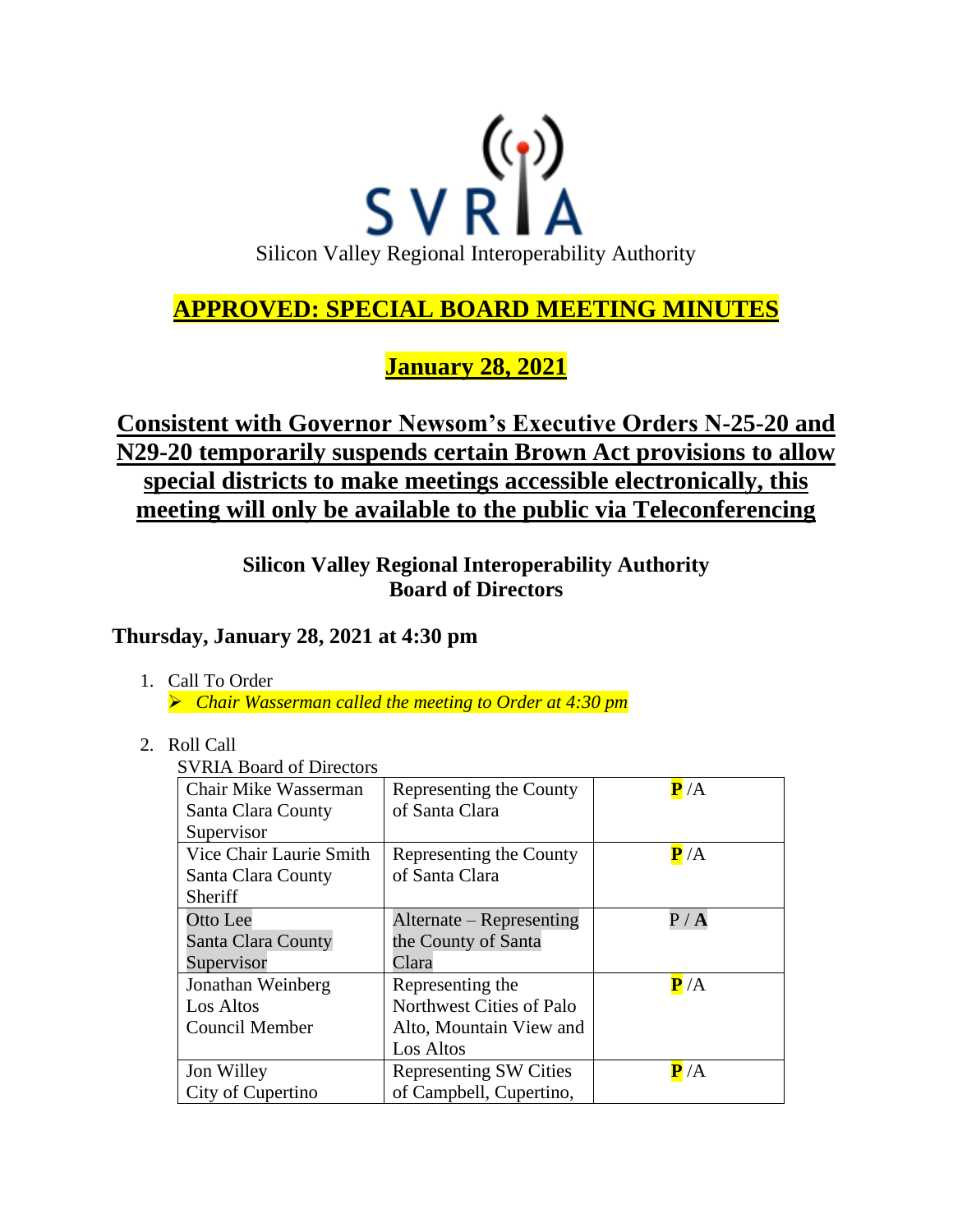

# **APPROVED: SPECIAL BOARD MEETING MINUTES**

**January 28, 2021**

# **Consistent with Governor Newsom's Executive Orders N-25-20 and N29-20 temporarily suspends certain Brown Act provisions to allow special districts to make meetings accessible electronically, this meeting will only be available to the public via Teleconferencing**

**Silicon Valley Regional Interoperability Authority Board of Directors**

## **Thursday, January 28, 2021 at 4:30 pm**

1. Call To Order

➢ *Chair Wasserman called the meeting to Order at 4:30 pm*

### 2. Roll Call

SVRIA Board of Directors

| Chair Mike Wasserman    | Representing the County       | $\mathbf{P}/\mathbf{A}$ |
|-------------------------|-------------------------------|-------------------------|
| Santa Clara County      | of Santa Clara                |                         |
| Supervisor              |                               |                         |
| Vice Chair Laurie Smith | Representing the County       | $\mathbf{P}/\mathbf{A}$ |
| Santa Clara County      | of Santa Clara                |                         |
| Sheriff                 |                               |                         |
| Otto Lee                | Alternate – Representing      | P / A                   |
| Santa Clara County      | the County of Santa           |                         |
| Supervisor              | Clara                         |                         |
| Jonathan Weinberg       | Representing the              | $\mathbf{P}/\mathbf{A}$ |
| Los Altos               | Northwest Cities of Palo      |                         |
| Council Member          | Alto, Mountain View and       |                         |
|                         | Los Altos                     |                         |
| Jon Willey              | <b>Representing SW Cities</b> | $\mathbf{P}$ /A         |
| City of Cupertino       | of Campbell, Cupertino,       |                         |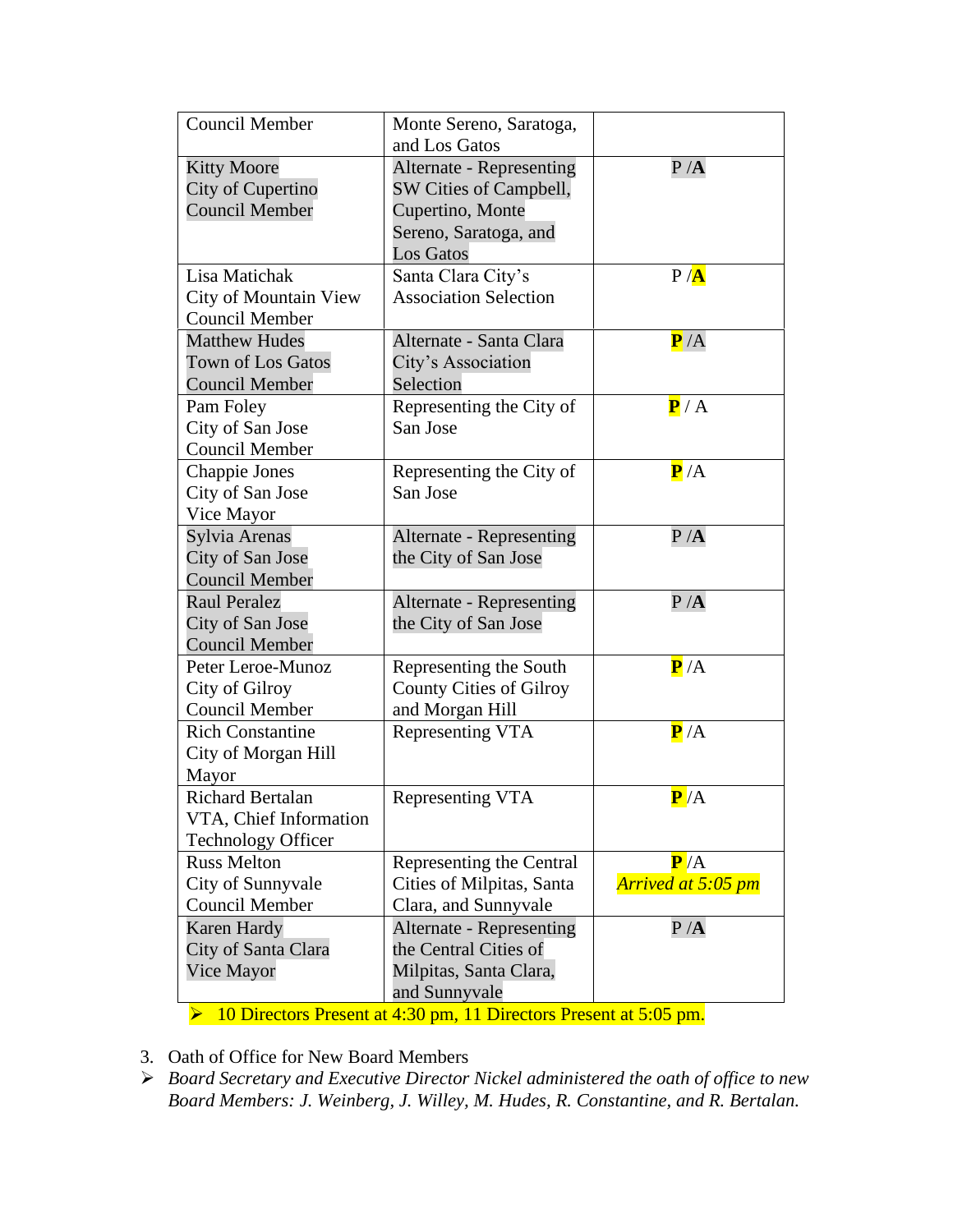| <b>Council Member</b>     | Monte Sereno, Saratoga,<br>and Los Gatos |                         |
|---------------------------|------------------------------------------|-------------------------|
| <b>Kitty Moore</b>        | <b>Alternate - Representing</b>          | P/A                     |
| City of Cupertino         | SW Cities of Campbell,                   |                         |
| <b>Council Member</b>     | Cupertino, Monte                         |                         |
|                           | Sereno, Saratoga, and                    |                         |
|                           | Los Gatos                                |                         |
| Lisa Matichak             | Santa Clara City's                       | P / A                   |
| City of Mountain View     | <b>Association Selection</b>             |                         |
| <b>Council Member</b>     |                                          |                         |
| <b>Matthew Hudes</b>      | Alternate - Santa Clara                  | P/A                     |
| <b>Town of Los Gatos</b>  | City's Association                       |                         |
| <b>Council Member</b>     | Selection                                |                         |
| Pam Foley                 | Representing the City of                 | $\mathbf{P}/\mathbf{A}$ |
| City of San Jose          | San Jose                                 |                         |
| <b>Council Member</b>     |                                          |                         |
| Chappie Jones             | Representing the City of                 | $\overline{P}/A$        |
| City of San Jose          | San Jose                                 |                         |
| Vice Mayor                |                                          |                         |
| Sylvia Arenas             | Alternate - Representing                 | P/A                     |
| City of San Jose          | the City of San Jose                     |                         |
| <b>Council Member</b>     |                                          |                         |
| <b>Raul Peralez</b>       | Alternate - Representing                 | P/A                     |
| City of San Jose          | the City of San Jose                     |                         |
| <b>Council Member</b>     |                                          |                         |
| Peter Leroe-Munoz         | Representing the South                   | $\mathbf{P}/\mathbf{A}$ |
| City of Gilroy            | <b>County Cities of Gilroy</b>           |                         |
| Council Member            | and Morgan Hill                          |                         |
| <b>Rich Constantine</b>   | Representing VTA                         | $\mathbf{P}/\mathbf{A}$ |
| City of Morgan Hill       |                                          |                         |
| Mayor                     |                                          |                         |
| <b>Richard Bertalan</b>   | Representing VTA                         | P/A                     |
| VTA, Chief Information    |                                          |                         |
| <b>Technology Officer</b> |                                          |                         |
| <b>Russ Melton</b>        | Representing the Central                 | P/A                     |
| City of Sunnyvale         | Cities of Milpitas, Santa                | Arrived at 5:05 pm      |
| <b>Council Member</b>     | Clara, and Sunnyvale                     |                         |
| <b>Karen Hardy</b>        | Alternate - Representing                 | P/A                     |
| City of Santa Clara       | the Central Cities of                    |                         |
| Vice Mayor                | Milpitas, Santa Clara,                   |                         |
|                           | and Sunnyvale                            |                         |

➢ 10 Directors Present at 4:30 pm, 11 Directors Present at 5:05 pm.

- 3. Oath of Office for New Board Members
- ➢ *Board Secretary and Executive Director Nickel administered the oath of office to new Board Members: J. Weinberg, J. Willey, M. Hudes, R. Constantine, and R. Bertalan.*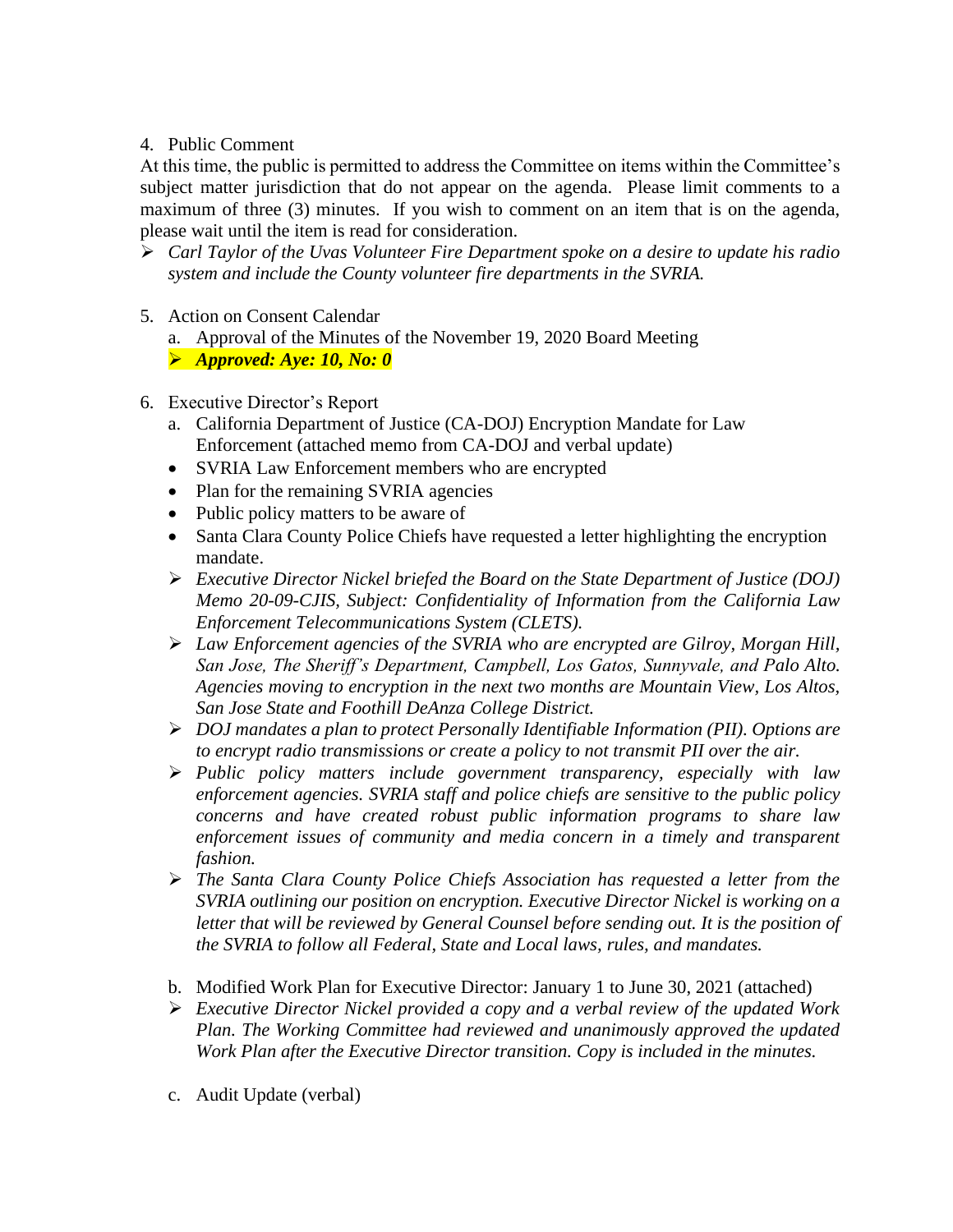### 4. Public Comment

At this time, the public is permitted to address the Committee on items within the Committee's subject matter jurisdiction that do not appear on the agenda. Please limit comments to a maximum of three (3) minutes. If you wish to comment on an item that is on the agenda, please wait until the item is read for consideration.

- ➢ *Carl Taylor of the Uvas Volunteer Fire Department spoke on a desire to update his radio system and include the County volunteer fire departments in the SVRIA.*
- 5. Action on Consent Calendar

a. Approval of the Minutes of the November 19, 2020 Board Meeting

➢ *Approved: Aye: 10, No: 0*

- 6. Executive Director's Report
	- a. California Department of Justice (CA-DOJ) Encryption Mandate for Law Enforcement (attached memo from CA-DOJ and verbal update)
	- SVRIA Law Enforcement members who are encrypted
	- Plan for the remaining SVRIA agencies
	- Public policy matters to be aware of
	- Santa Clara County Police Chiefs have requested a letter highlighting the encryption mandate.
	- ➢ *Executive Director Nickel briefed the Board on the State Department of Justice (DOJ) Memo 20-09-CJIS, Subject: Confidentiality of Information from the California Law Enforcement Telecommunications System (CLETS).*
	- ➢ *Law Enforcement agencies of the SVRIA who are encrypted are Gilroy, Morgan Hill, San Jose, The Sheriff's Department, Campbell, Los Gatos, Sunnyvale, and Palo Alto. Agencies moving to encryption in the next two months are Mountain View, Los Altos, San Jose State and Foothill DeAnza College District.*
	- ➢ *DOJ mandates a plan to protect Personally Identifiable Information (PII). Options are to encrypt radio transmissions or create a policy to not transmit PII over the air.*
	- ➢ *Public policy matters include government transparency, especially with law enforcement agencies. SVRIA staff and police chiefs are sensitive to the public policy concerns and have created robust public information programs to share law enforcement issues of community and media concern in a timely and transparent fashion.*
	- ➢ *The Santa Clara County Police Chiefs Association has requested a letter from the SVRIA outlining our position on encryption. Executive Director Nickel is working on a*  letter that will be reviewed by General Counsel before sending out. It is the position of *the SVRIA to follow all Federal, State and Local laws, rules, and mandates.*
	- b. Modified Work Plan for Executive Director: January 1 to June 30, 2021 (attached)
	- ➢ *Executive Director Nickel provided a copy and a verbal review of the updated Work Plan. The Working Committee had reviewed and unanimously approved the updated Work Plan after the Executive Director transition. Copy is included in the minutes.*
	- c. Audit Update (verbal)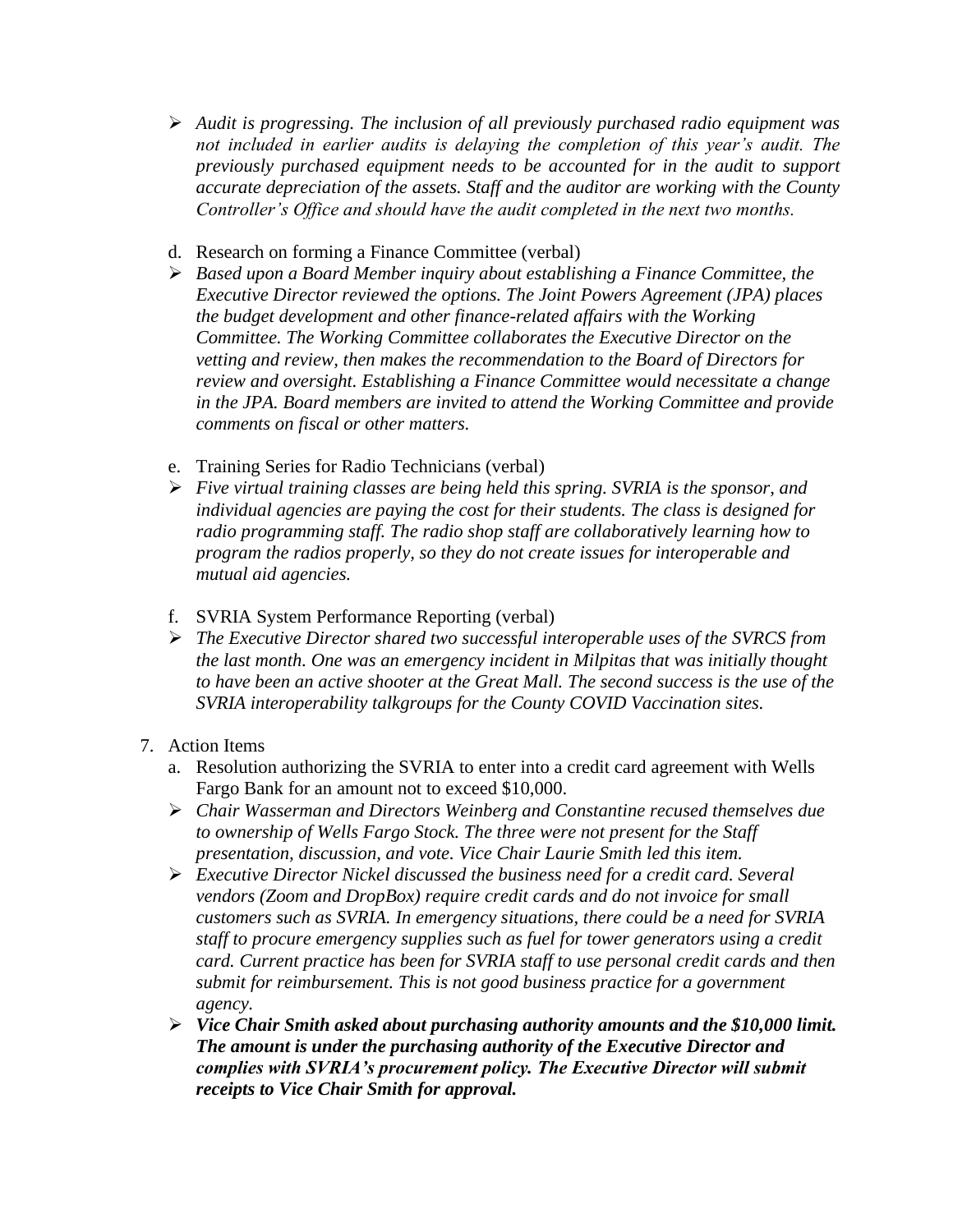- ➢ *Audit is progressing. The inclusion of all previously purchased radio equipment was not included in earlier audits is delaying the completion of this year's audit. The previously purchased equipment needs to be accounted for in the audit to support accurate depreciation of the assets. Staff and the auditor are working with the County Controller's Office and should have the audit completed in the next two months.*
- d. Research on forming a Finance Committee (verbal)
- ➢ *Based upon a Board Member inquiry about establishing a Finance Committee, the Executive Director reviewed the options. The Joint Powers Agreement (JPA) places the budget development and other finance-related affairs with the Working Committee. The Working Committee collaborates the Executive Director on the vetting and review, then makes the recommendation to the Board of Directors for review and oversight. Establishing a Finance Committee would necessitate a change in the JPA. Board members are invited to attend the Working Committee and provide comments on fiscal or other matters.*
- e. Training Series for Radio Technicians (verbal)
- ➢ *Five virtual training classes are being held this spring. SVRIA is the sponsor, and individual agencies are paying the cost for their students. The class is designed for radio programming staff. The radio shop staff are collaboratively learning how to program the radios properly, so they do not create issues for interoperable and mutual aid agencies.*
- f. SVRIA System Performance Reporting (verbal)
- ➢ *The Executive Director shared two successful interoperable uses of the SVRCS from the last month. One was an emergency incident in Milpitas that was initially thought*  to have been an active shooter at the Great Mall. The second success is the use of the *SVRIA interoperability talkgroups for the County COVID Vaccination sites.*

### 7. Action Items

- a. Resolution authorizing the SVRIA to enter into a credit card agreement with Wells Fargo Bank for an amount not to exceed \$10,000.
- ➢ *Chair Wasserman and Directors Weinberg and Constantine recused themselves due to ownership of Wells Fargo Stock. The three were not present for the Staff presentation, discussion, and vote. Vice Chair Laurie Smith led this item.*
- ➢ *Executive Director Nickel discussed the business need for a credit card. Several vendors (Zoom and DropBox) require credit cards and do not invoice for small customers such as SVRIA. In emergency situations, there could be a need for SVRIA staff to procure emergency supplies such as fuel for tower generators using a credit card. Current practice has been for SVRIA staff to use personal credit cards and then submit for reimbursement. This is not good business practice for a government agency.*
- ➢ *Vice Chair Smith asked about purchasing authority amounts and the \$10,000 limit. The amount is under the purchasing authority of the Executive Director and complies with SVRIA's procurement policy. The Executive Director will submit receipts to Vice Chair Smith for approval.*